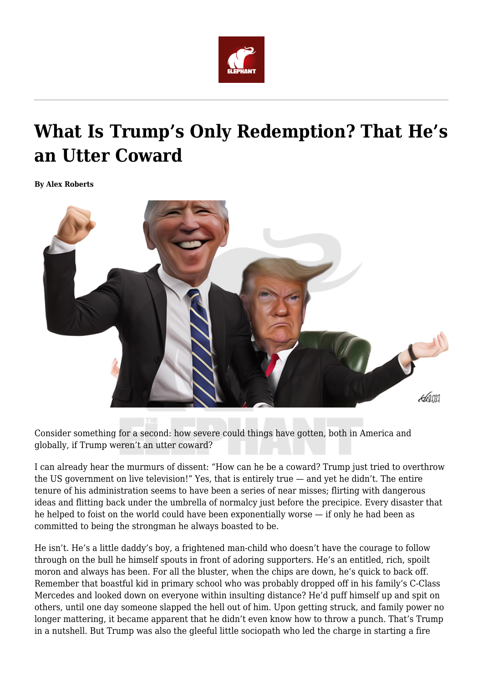

## **What Is Trump's Only Redemption? That He's an Utter Coward**

**By Alex Roberts**



Consider something for a second: how severe could things have gotten, both in America and globally, if Trump weren't an utter coward?

I can already hear the murmurs of dissent: "How can he be a coward? Trump just tried to overthrow the US government on live television!" Yes, that is entirely true — and yet he didn't. The entire tenure of his administration seems to have been a series of near misses; flirting with dangerous ideas and flitting back under the umbrella of normalcy just before the precipice. Every disaster that he helped to foist on the world could have been exponentially worse — if only he had been as committed to being the strongman he always boasted to be.

He isn't. He's a little daddy's boy, a frightened man-child who doesn't have the courage to follow through on the bull he himself spouts in front of adoring supporters. He's an entitled, rich, spoilt moron and always has been. For all the bluster, when the chips are down, he's quick to back off. Remember that boastful kid in primary school who was probably dropped off in his family's C-Class Mercedes and looked down on everyone within insulting distance? He'd puff himself up and spit on others, until one day someone slapped the hell out of him. Upon getting struck, and family power no longer mattering, it became apparent that he didn't even know how to throw a punch. That's Trump in a nutshell. But Trump was also the gleeful little sociopath who led the charge in starting a fire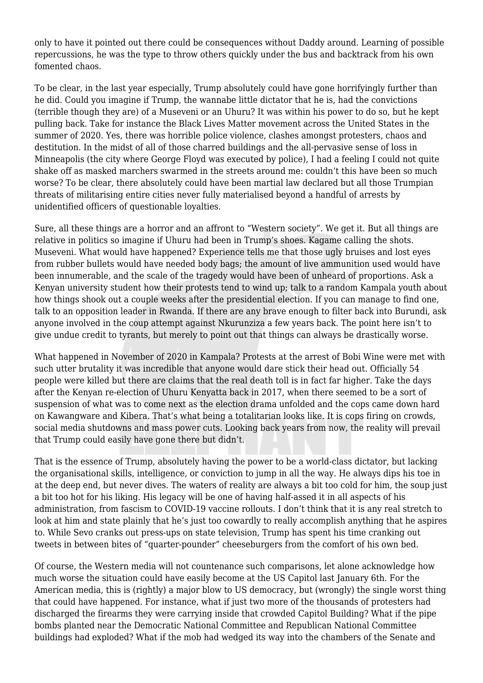only to have it pointed out there could be consequences without Daddy around. Learning of possible repercussions, he was the type to throw others quickly under the bus and backtrack from his own fomented chaos.

To be clear, in the last year especially, Trump absolutely could have gone horrifyingly further than he did. Could you imagine if Trump, the wannabe little dictator that he is, had the convictions (terrible though they are) of a Museveni or an Uhuru? It was within his power to do so, but he kept pulling back. Take for instance the Black Lives Matter movement across the United States in the summer of 2020. Yes, there was horrible police violence, clashes amongst protesters, chaos and destitution. In the midst of all of those charred buildings and the all-pervasive sense of loss in Minneapolis (the city where George Floyd was executed by police), I had a feeling I could not quite shake off as masked marchers swarmed in the streets around me: couldn't this have been so much worse? To be clear, there absolutely could have been martial law declared but all those Trumpian threats of militarising entire cities never fully materialised beyond a handful of arrests by unidentified officers of questionable loyalties.

Sure, all these things are a horror and an affront to "Western society". We get it. But all things are relative in politics so imagine if Uhuru had been in Trump's shoes. Kagame calling the shots. Museveni. What would have happened? Experience tells me that those ugly bruises and lost eyes from rubber bullets would have needed body bags; the amount of live ammunition used would have been innumerable, and the scale of the tragedy would have been of unheard of proportions. Ask a Kenyan university student how their protests tend to wind up; talk to a random Kampala youth about how things shook out a couple weeks after the presidential election. If you can manage to find one, talk to an opposition leader in Rwanda. If there are any brave enough to filter back into Burundi, ask anyone involved in the coup attempt against Nkurunziza a few years back. The point here isn't to give undue credit to tyrants, but merely to point out that things can always be drastically worse.

What happened in November of 2020 in Kampala? Protests at the arrest of Bobi Wine were met with such utter brutality it was incredible that anyone would dare stick their head out. Officially 54 people were killed but there are claims that the real death toll is in fact far higher. Take the days after the Kenyan re-election of Uhuru Kenyatta back in 2017, when there seemed to be a sort of suspension of what was to come next as the election drama unfolded and the cops came down hard on Kawangware and Kibera. That's what being a totalitarian looks like. It is cops firing on crowds, social media shutdowns and mass power cuts. Looking back years from now, the reality will prevail that Trump could easily have gone there but didn't.

That is the essence of Trump, absolutely having the power to be a world-class dictator, but lacking the organisational skills, intelligence, or conviction to jump in all the way. He always dips his toe in at the deep end, but never dives. The waters of reality are always a bit too cold for him, the soup just a bit too hot for his liking. His legacy will be one of having half-assed it in all aspects of his administration, from fascism to COVID-19 vaccine rollouts. I don't think that it is any real stretch to look at him and state plainly that he's just too cowardly to really accomplish anything that he aspires to. While Sevo cranks out press-ups on state television, Trump has spent his time cranking out tweets in between bites of "quarter-pounder" cheeseburgers from the comfort of his own bed.

Of course, the Western media will not countenance such comparisons, let alone acknowledge how much worse the situation could have easily become at the US Capitol last January 6th. For the American media, this is (rightly) a major blow to US democracy, but (wrongly) the single worst thing that could have happened. For instance, what if just two more of the thousands of protesters had discharged the firearms they were carrying inside that crowded Capitol Building? What if the pipe bombs planted near the Democratic National Committee and Republican National Committee buildings had exploded? What if the mob had wedged its way into the chambers of the Senate and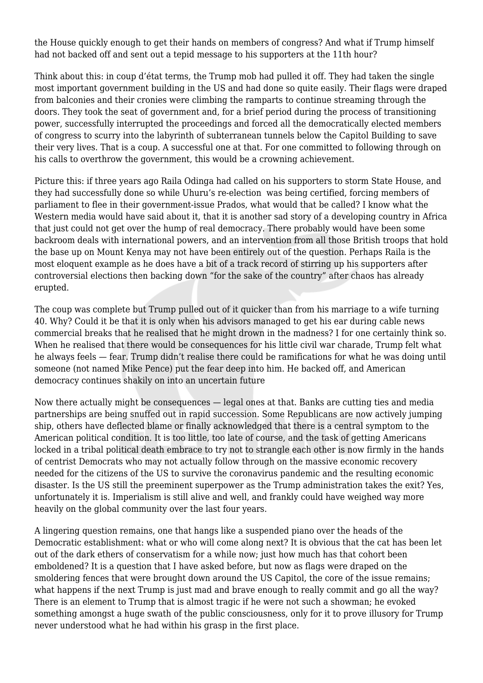the House quickly enough to get their hands on members of congress? And what if Trump himself had not backed off and sent out a tepid message to his supporters at the 11th hour?

Think about this: in coup d'état terms, the Trump mob had pulled it off. They had taken the single most important government building in the US and had done so quite easily. Their flags were draped from balconies and their cronies were climbing the ramparts to continue streaming through the doors. They took the seat of government and, for a brief period during the process of transitioning power, successfully interrupted the proceedings and forced all the democratically elected members of congress to scurry into the labyrinth of subterranean tunnels below the Capitol Building to save their very lives. That is a coup. A successful one at that. For one committed to following through on his calls to overthrow the government, this would be a crowning achievement.

Picture this: if three years ago Raila Odinga had called on his supporters to storm State House, and they had successfully done so while Uhuru's re-election was being certified, forcing members of parliament to flee in their government-issue Prados, what would that be called? I know what the Western media would have said about it, that it is another sad story of a developing country in Africa that just could not get over the hump of real democracy. There probably would have been some backroom deals with international powers, and an intervention from all those British troops that hold the base up on Mount Kenya may not have been entirely out of the question. Perhaps Raila is the most eloquent example as he does have a bit of a track record of stirring up his supporters after controversial elections then backing down "for the sake of the country" after chaos has already erupted.

The coup was complete but Trump pulled out of it quicker than from his marriage to a wife turning 40. Why? Could it be that it is only when his advisors managed to get his ear during cable news commercial breaks that he realised that he might drown in the madness? I for one certainly think so. When he realised that there would be consequences for his little civil war charade, Trump felt what he always feels — fear. Trump didn't realise there could be ramifications for what he was doing until someone (not named Mike Pence) put the fear deep into him. He backed off, and American democracy continues shakily on into an uncertain future

Now there actually might be consequences — legal ones at that. Banks are cutting ties and media partnerships are being snuffed out in rapid succession. Some Republicans are now actively jumping ship, others have deflected blame or finally acknowledged that there is a central symptom to the American political condition. It is too little, too late of course, and the task of getting Americans locked in a tribal political death embrace to try not to strangle each other is now firmly in the hands of centrist Democrats who may not actually follow through on the massive economic recovery needed for the citizens of the US to survive the coronavirus pandemic and the resulting economic disaster. Is the US still the preeminent superpower as the Trump administration takes the exit? Yes, unfortunately it is. Imperialism is still alive and well, and frankly could have weighed way more heavily on the global community over the last four years.

A lingering question remains, one that hangs like a suspended piano over the heads of the Democratic establishment: what or who will come along next? It is obvious that the cat has been let out of the dark ethers of conservatism for a while now; just how much has that cohort been emboldened? It is a question that I have asked before, but now as flags were draped on the smoldering fences that were brought down around the US Capitol, the core of the issue remains; what happens if the next Trump is just mad and brave enough to really commit and go all the way? There is an element to Trump that is almost tragic if he were not such a showman; he evoked something amongst a huge swath of the public consciousness, only for it to prove illusory for Trump never understood what he had within his grasp in the first place.